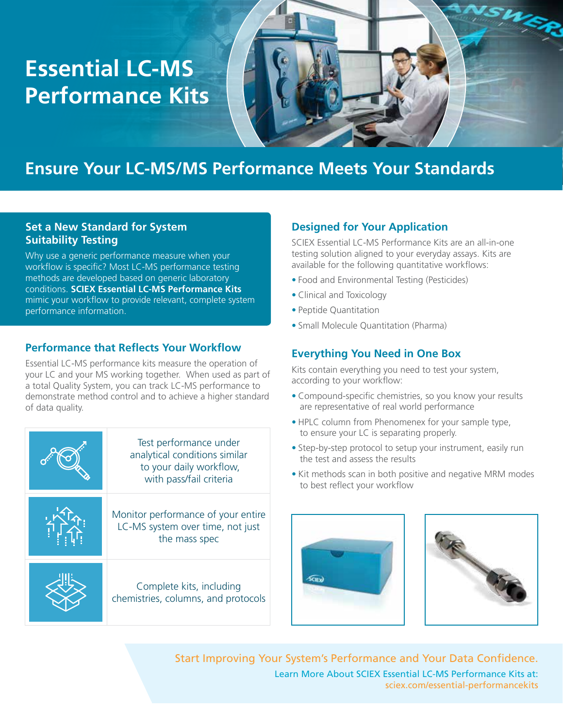# **Essential LC-MS Performance Kits**



## **Ensure Your LC-MS/MS Performance Meets Your Standards**

#### **Set a New Standard for System Suitability Testing**

Why use a generic performance measure when your workflow is specific? Most LC-MS performance testing methods are developed based on generic laboratory conditions. **SCIEX Essential LC-MS Performance Kits** mimic your workflow to provide relevant, complete system performance information.

#### **Performance that Reflects Your Workflow**

Essential LC-MS performance kits measure the operation of your LC and your MS working together. When used as part of a total Quality System, you can track LC-MS performance to demonstrate method control and to achieve a higher standard of data quality.

| Test performance under<br>analytical conditions similar<br>to your daily workflow,<br>with pass/fail criteria |
|---------------------------------------------------------------------------------------------------------------|
| Monitor performance of your entire<br>LC-MS system over time, not just<br>the mass spec                       |
| Complete kits, including<br>chemistries, columns, and protocols                                               |

#### **Designed for Your Application**

SCIEX Essential LC-MS Performance Kits are an all-in-one testing solution aligned to your everyday assays. Kits are available for the following quantitative workflows:

- Food and Environmental Testing (Pesticides)
- Clinical and Toxicology
- Peptide Quantitation
- Small Molecule Quantitation (Pharma)

#### **Everything You Need in One Box**

Kits contain everything you need to test your system, according to your workflow:

- Compound-specific chemistries, so you know your results are representative of real world performance
- HPLC column from Phenomenex for your sample type, to ensure your LC is separating properly.
- Step-by-step protocol to setup your instrument, easily run the test and assess the results
- Kit methods scan in both positive and negative MRM modes to best reflect your workflow





Start Improving Your System's Performance and Your Data Confidence. Learn More About SCIEX Essential LC-MS Performance Kits at: sciex.com/essential-performancekits